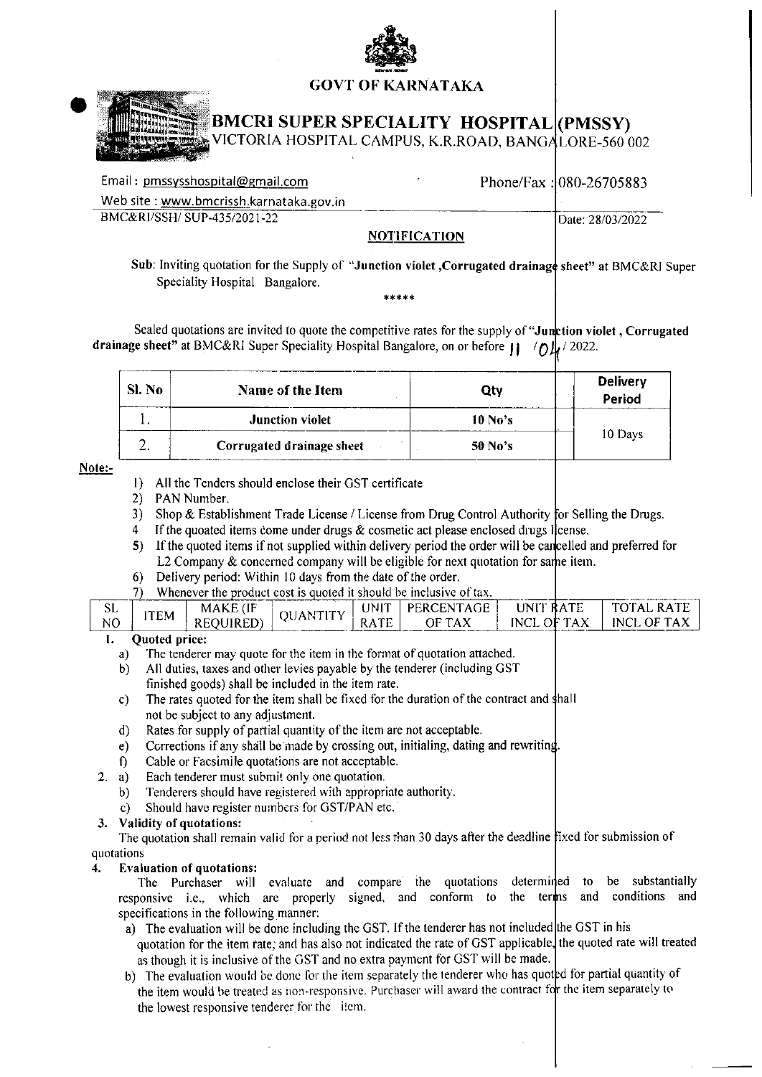

## **GOVT OF KARNATAKA**



# **BMCRI SUPER SPECIALITY HOSPITAL (PMSSY)**

ICTORIA HOSPITAL CAMPUS, K.R.ROAD, BANGALORE-560 002

| Email: pmssysshospital@gmail.com        |                     | Phone/Fax: $ 080-26705883 $ |
|-----------------------------------------|---------------------|-----------------------------|
| Web site: www.bmcrissh.karnataka.gov.in |                     |                             |
| BMC&RI/SSH/SUP-435/2021-22              |                     | Date: 28/03/2022            |
|                                         | <b>NOTIFICATION</b> |                             |

Sub: Inviting quotation for the Supply of "Junction violet, Corrugated drainage sheet" at BMC&RI Super Speciality Hospital Bangalore.

Sealed quotations are invited to quote the competitive rates for the supply of "Junction violet, Corrugated drainage sheet" at BMC&RI Super Speciality Hospital Bangalore, on or before  $||\psi|/2022$ .

| Sl. No | Name of the Item          | Qty       | <b>Delivery</b><br>Period |
|--------|---------------------------|-----------|---------------------------|
|        | <b>Junction violet</b>    | $10$ No's |                           |
|        | Corrugated drainage sheet | 50 No's   | 10 Days                   |

## Note:-

- 1) All the Tenders should enclose their GST certificate
- 2) PAN Number.
- 3) Shop & Establishment Trade License / License from Drug Control Authority for Selling the Drugs.
- 4 If the quoated items come under drugs  $\&$  cosmetic act please enclosed drugs license.
- 5) If the quoted items if not supplied within delivery period the order will be cancelled and preferred for L2 Company & concerned company will be eligible for next quotation for same item.
- Delivery period: Within 10 days from the date of the order.  $6)$
- 7) Whenever the product cost is quoted it should be inclusive of tax.

| ىتە             | ITEM                                                                                                                                                                                                                           | MAKE (IF  | А<br>.JI | <b>INIT</b> | PERCENTAGE    | <b>LINIT RATE</b> | I TOTAL RATE  |
|-----------------|--------------------------------------------------------------------------------------------------------------------------------------------------------------------------------------------------------------------------------|-----------|----------|-------------|---------------|-------------------|---------------|
| NO <sub>1</sub> |                                                                                                                                                                                                                                | REOUIRED) |          |             | $RATE$ OF TAX | INCL OF TAX       | I INCL OF TAX |
|                 | Andread and the second second second and second the second second second and second second and second and second second and second and second and second and second and second and second and second and second and second and |           |          |             |               |                   |               |

#### Quoted price: ı.

- The tenderer may quote for the item in the format of quotation attached. a)
- $b)$ All duties, taxes and other levies payable by the tenderer (including GST finished goods) shall be included in the item rate.
- The rates quoted for the item shall be fixed for the duration of the contract and shall  $\mathbf{c}$ ) not be subject to any adjustment.
- Rates for supply of partial quantity of the item are not acceptable.  $d)$
- Corrections if any shall be made by crossing out, initialing, dating and rewriting.  $e)$
- f) Cable or Facsimile quotations are not acceptable.
- Each tenderer must submit only one quotation.  $2. a)$ 
	- Tenderers should have registered with appropriate authority.  $b)$
	- Should have register numbers for GST/PAN etc.  $\mathbf{c}$

## 3. Validity of quotations:

The quotation shall remain valid for a period not less than 30 days after the deadline fixed for submission of quotations

#### **Evaluation of quotations:** 4.

The Purchaser will evaluate and compare the quotations determined to be substantially responsive i.e., which are properly signed, and conform to the term is and conditions and specifications in the following manner.

- a) The evaluation will be done including the GST. If the tenderer has not included the GST in his quotation for the item rate, and has also not indicated the rate of GST applicable, the quoted rate will treated as though it is inclusive of the GST and no extra payment for GST will be made.
- b) The evaluation would be done for the item separately the tenderer who has quoted for partial quantity of the item would be treated as non-responsive. Purchaser will award the contract for the item separately to the lowest responsive tenderer for the item.